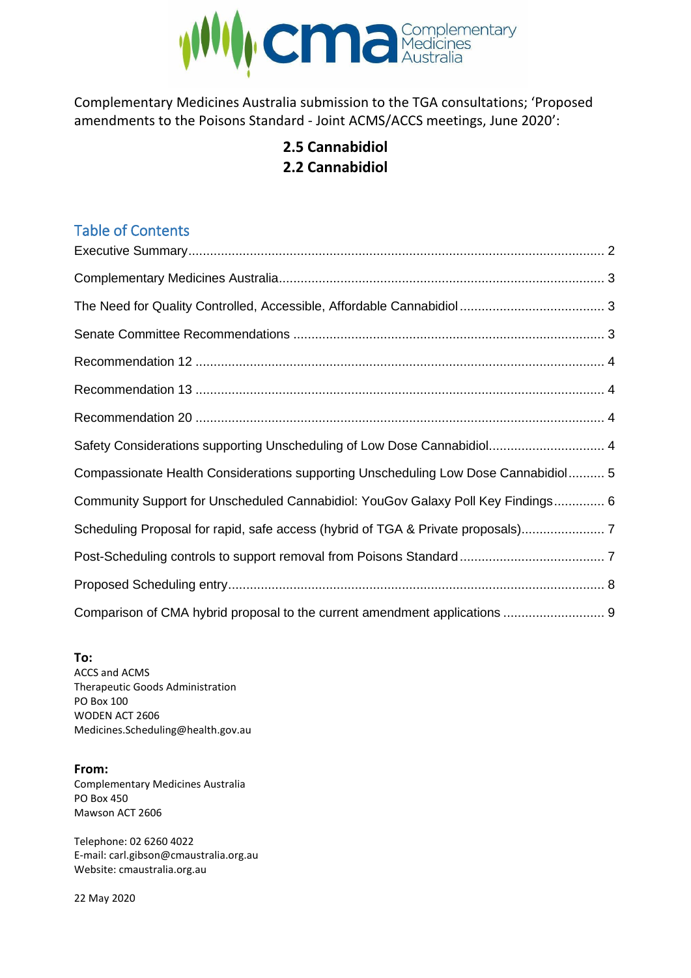

Complementary Medicines Australia submission to the TGA consultations; 'Proposed amendments to the Poisons Standard - Joint ACMS/ACCS meetings, June 2020':

# **2.5 Cannabidiol 2.2 Cannabidiol**

# Table of Contents

| Safety Considerations supporting Unscheduling of Low Dose Cannabidiol 4            |  |
|------------------------------------------------------------------------------------|--|
| Compassionate Health Considerations supporting Unscheduling Low Dose Cannabidiol 5 |  |
| Community Support for Unscheduled Cannabidiol: YouGov Galaxy Poll Key Findings 6   |  |
| Scheduling Proposal for rapid, safe access (hybrid of TGA & Private proposals)     |  |
|                                                                                    |  |
|                                                                                    |  |
| Comparison of CMA hybrid proposal to the current amendment applications  9         |  |

**To:** ACCS and ACMS Therapeutic Goods Administration PO Box 100 WODEN ACT 2606 Medicines.Scheduling@health.gov.au

### **From:**

Complementary Medicines Australia PO Box 450 Mawson ACT 2606

Telephone: 02 6260 4022 E-mail: carl.gibson@cmaustralia.org.au Website: cmaustralia.org.au

22 May 2020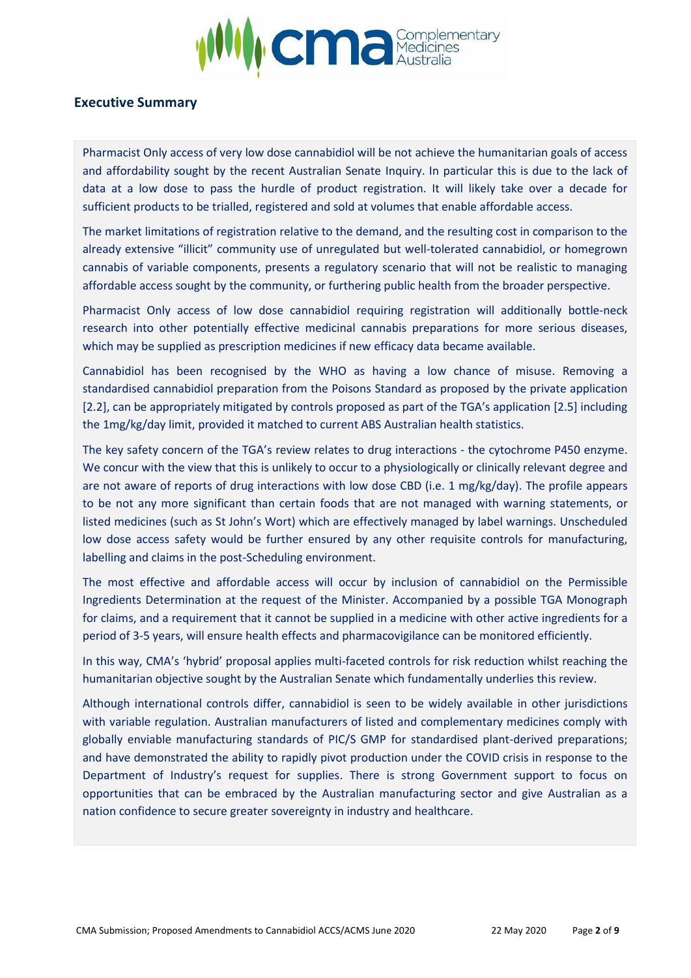

### <span id="page-1-0"></span>**Executive Summary**

Pharmacist Only access of very low dose cannabidiol will be not achieve the humanitarian goals of access and affordability sought by the recent Australian Senate Inquiry. In particular this is due to the lack of data at a low dose to pass the hurdle of product registration. It will likely take over a decade for sufficient products to be trialled, registered and sold at volumes that enable affordable access.

The market limitations of registration relative to the demand, and the resulting cost in comparison to the already extensive "illicit" community use of unregulated but well-tolerated cannabidiol, or homegrown cannabis of variable components, presents a regulatory scenario that will not be realistic to managing affordable access sought by the community, or furthering public health from the broader perspective.

Pharmacist Only access of low dose cannabidiol requiring registration will additionally bottle-neck research into other potentially effective medicinal cannabis preparations for more serious diseases, which may be supplied as prescription medicines if new efficacy data became available.

Cannabidiol has been recognised by the WHO as having a low chance of misuse. Removing a standardised cannabidiol preparation from the Poisons Standard as proposed by the private application [2.2], can be appropriately mitigated by controls proposed as part of the TGA's application [2.5] including the 1mg/kg/day limit, provided it matched to current ABS Australian health statistics.

The key safety concern of the TGA's review relates to drug interactions - the cytochrome P450 enzyme. We concur with the view that this is unlikely to occur to a physiologically or clinically relevant degree and are not aware of reports of drug interactions with low dose CBD (i.e. 1 mg/kg/day). The profile appears to be not any more significant than certain foods that are not managed with warning statements, or listed medicines (such as St John's Wort) which are effectively managed by label warnings. Unscheduled low dose access safety would be further ensured by any other requisite controls for manufacturing, labelling and claims in the post-Scheduling environment.

The most effective and affordable access will occur by inclusion of cannabidiol on the Permissible Ingredients Determination at the request of the Minister. Accompanied by a possible TGA Monograph for claims, and a requirement that it cannot be supplied in a medicine with other active ingredients for a period of 3-5 years, will ensure health effects and pharmacovigilance can be monitored efficiently.

In this way, CMA's 'hybrid' proposal applies multi-faceted controls for risk reduction whilst reaching the humanitarian objective sought by the Australian Senate which fundamentally underlies this review.

Although international controls differ, cannabidiol is seen to be widely available in other jurisdictions with variable regulation. Australian manufacturers of listed and complementary medicines comply with globally enviable manufacturing standards of PIC/S GMP for standardised plant-derived preparations; and have demonstrated the ability to rapidly pivot production under the COVID crisis in response to the Department of Industry's request for supplies. There is strong Government support to focus on opportunities that can be embraced by the Australian manufacturing sector and give Australian as a nation confidence to secure greater sovereignty in industry and healthcare.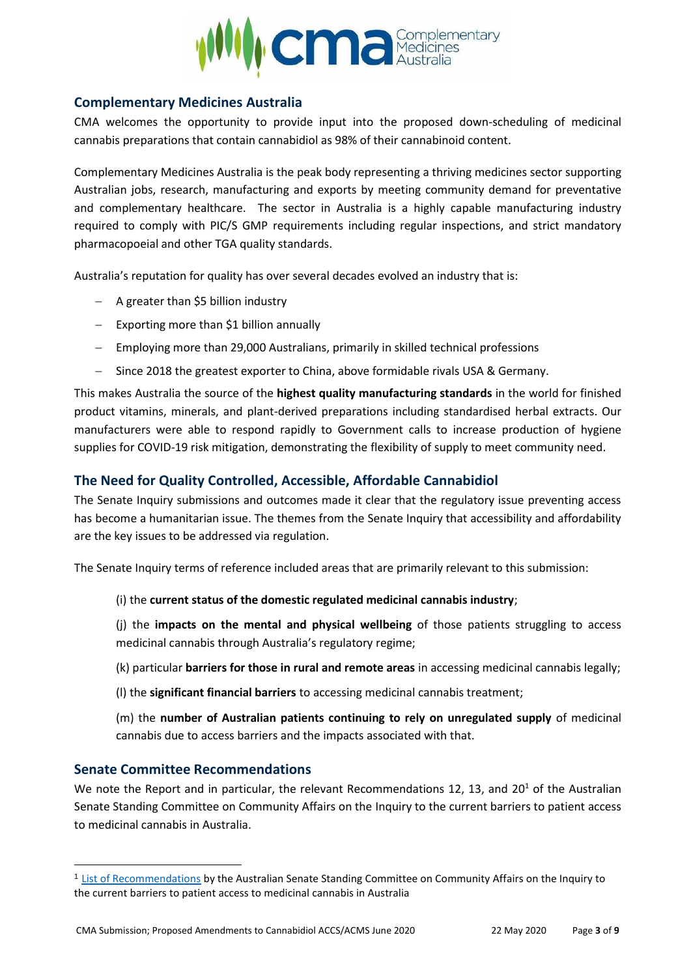

### <span id="page-2-0"></span>**Complementary Medicines Australia**

CMA welcomes the opportunity to provide input into the proposed down-scheduling of medicinal cannabis preparations that contain cannabidiol as 98% of their cannabinoid content.

Complementary Medicines Australia is the peak body representing a thriving medicines sector supporting Australian jobs, research, manufacturing and exports by meeting community demand for preventative and complementary healthcare. The sector in Australia is a highly capable manufacturing industry required to comply with PIC/S GMP requirements including regular inspections, and strict mandatory pharmacopoeial and other TGA quality standards.

Australia's reputation for quality has over several decades evolved an industry that is:

- − A greater than \$5 billion industry
- − Exporting more than \$1 billion annually
- − Employing more than 29,000 Australians, primarily in skilled technical professions
- − Since 2018 the greatest exporter to China, above formidable rivals USA & Germany.

This makes Australia the source of the **highest quality manufacturing standards** in the world for finished product vitamins, minerals, and plant-derived preparations including standardised herbal extracts. Our manufacturers were able to respond rapidly to Government calls to increase production of hygiene supplies for COVID-19 risk mitigation, demonstrating the flexibility of supply to meet community need.

### <span id="page-2-1"></span>**The Need for Quality Controlled, Accessible, Affordable Cannabidiol**

The Senate Inquiry submissions and outcomes made it clear that the regulatory issue preventing access has become a humanitarian issue. The themes from the Senate Inquiry that accessibility and affordability are the key issues to be addressed via regulation.

The Senate Inquiry terms of reference included areas that are primarily relevant to this submission:

(i) the **current status of the domestic regulated medicinal cannabis industry**;

(j) the **impacts on the mental and physical wellbeing** of those patients struggling to access medicinal cannabis through Australia's regulatory regime;

- (k) particular **barriers for those in rural and remote areas** in accessing medicinal cannabis legally;
- (l) the **significant financial barriers** to accessing medicinal cannabis treatment;

(m) the **number of Australian patients continuing to rely on unregulated supply** of medicinal cannabis due to access barriers and the impacts associated with that.

### <span id="page-2-2"></span>**Senate Committee Recommendations**

We note the Report and in particular, the relevant Recommendations 12, 13, and  $20<sup>1</sup>$  of the Australian Senate Standing Committee on Community Affairs on the Inquiry to the current barriers to patient access to medicinal cannabis in Australia.

<sup>&</sup>lt;sup>1</sup> [List of Recommendations](https://www.aph.gov.au/Parliamentary_Business/Committees/Senate/Community_Affairs/Medicinalcannabis/Report/section?id=committees%2freportsen%2f024403%2f72394) by the Australian Senate Standing Committee on Community Affairs on the Inquiry to the current barriers to patient access to medicinal cannabis in Australia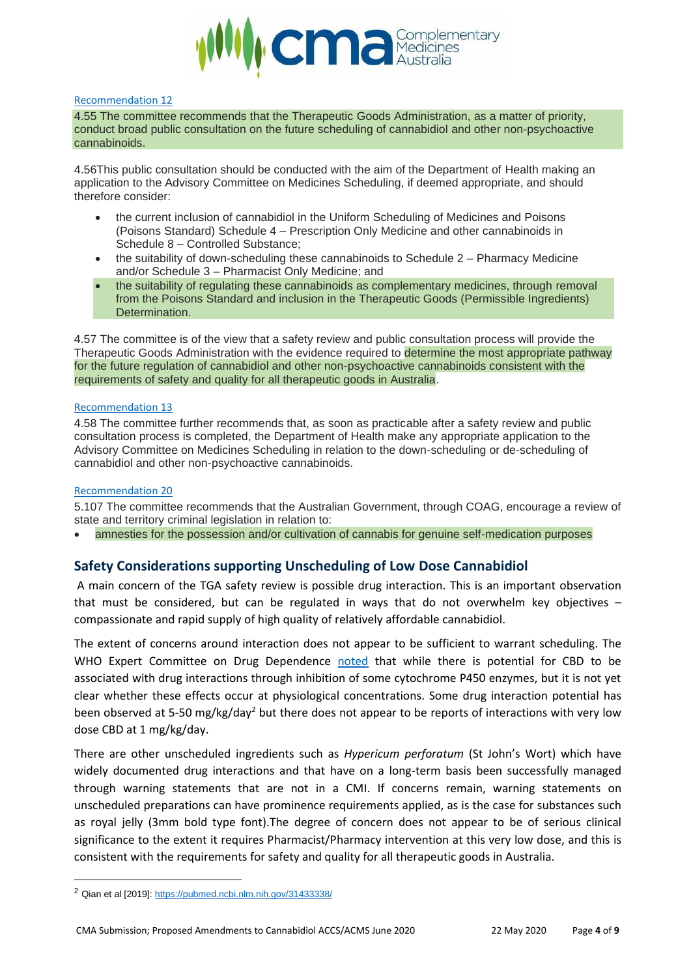

#### <span id="page-3-0"></span>[Recommendation](https://www.aph.gov.au/Parliamentary_Business/Committees/Senate/Community_Affairs/Medicinalcannabis/Report/section?id=committees%2freportsen%2f024403%2f72394#_recList12) 12

4.55 The committee recommends that the Therapeutic Goods Administration, as a matter of priority, conduct broad public consultation on the future scheduling of cannabidiol and other non-psychoactive cannabinoids.

4.56This public consultation should be conducted with the aim of the Department of Health making an application to the Advisory Committee on Medicines Scheduling, if deemed appropriate, and should therefore consider:

- the current inclusion of cannabidiol in the Uniform Scheduling of Medicines and Poisons (Poisons Standard) Schedule 4 – Prescription Only Medicine and other cannabinoids in Schedule 8 – Controlled Substance;
- the suitability of down-scheduling these cannabinoids to Schedule 2 Pharmacy Medicine and/or Schedule 3 – Pharmacist Only Medicine; and
- the suitability of regulating these cannabinoids as complementary medicines, through removal from the Poisons Standard and inclusion in the Therapeutic Goods (Permissible Ingredients) Determination.

4.57 The committee is of the view that a safety review and public consultation process will provide the Therapeutic Goods Administration with the evidence required to determine the most appropriate pathway for the future regulation of cannabidiol and other non-psychoactive cannabinoids consistent with the requirements of safety and quality for all therapeutic goods in Australia.

#### <span id="page-3-1"></span>[Recommendation](https://www.aph.gov.au/Parliamentary_Business/Committees/Senate/Community_Affairs/Medicinalcannabis/Report/section?id=committees%2freportsen%2f024403%2f72394#_recList13) 13

4.58 The committee further recommends that, as soon as practicable after a safety review and public consultation process is completed, the Department of Health make any appropriate application to the Advisory Committee on Medicines Scheduling in relation to the down-scheduling or de-scheduling of cannabidiol and other non-psychoactive cannabinoids.

#### <span id="page-3-2"></span>[Recommendation](https://www.aph.gov.au/Parliamentary_Business/Committees/Senate/Community_Affairs/Medicinalcannabis/Report/section?id=committees%2freportsen%2f024403%2f72688#s72688rec20) 20

5.107 The committee recommends that the Australian Government, through COAG, encourage a review of state and territory criminal legislation in relation to:

• amnesties for the possession and/or cultivation of cannabis for genuine self-medication purposes

### <span id="page-3-3"></span>**Safety Considerations supporting Unscheduling of Low Dose Cannabidiol**

A main concern of the TGA safety review is possible drug interaction. This is an important observation that must be considered, but can be regulated in ways that do not overwhelm key objectives – compassionate and rapid supply of high quality of relatively affordable cannabidiol.

The extent of concerns around interaction does not appear to be sufficient to warrant scheduling. The WHO Expert Committee on Drug Dependence [noted](https://www.who.int/medicines/access/controlled-substances/5.2_CBD.pdf) that while there is potential for CBD to be associated with drug interactions through inhibition of some cytochrome P450 enzymes, but it is not yet clear whether these effects occur at physiological concentrations. Some drug interaction potential has been observed at 5-50 mg/kg/day<sup>2</sup> but there does not appear to be reports of interactions with very low dose CBD at 1 mg/kg/day.

There are other unscheduled ingredients such as *Hypericum perforatum* (St John's Wort) which have widely documented drug interactions and that have on a long-term basis been successfully managed through warning statements that are not in a CMI. If concerns remain, warning statements on unscheduled preparations can have prominence requirements applied, as is the case for substances such as royal jelly (3mm bold type font).The degree of concern does not appear to be of serious clinical significance to the extent it requires Pharmacist/Pharmacy intervention at this very low dose, and this is consistent with the requirements for safety and quality for all therapeutic goods in Australia.

<sup>2</sup> Qian et al [2019][: https://pubmed.ncbi.nlm.nih.gov/31433338/](https://pubmed.ncbi.nlm.nih.gov/31433338/)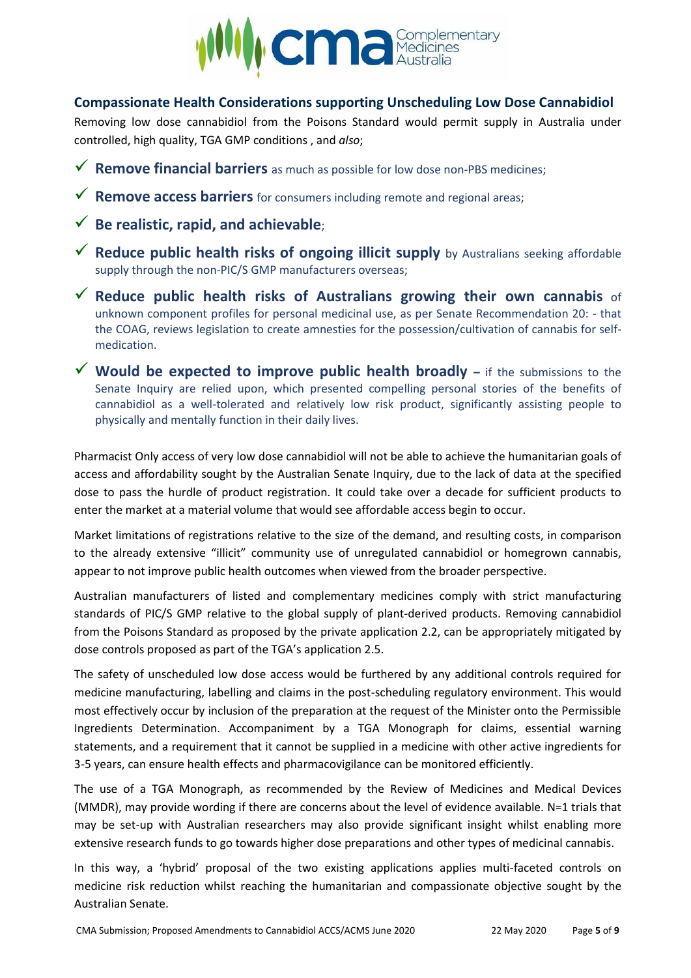

### <span id="page-4-0"></span>**Compassionate Health Considerations supporting Unscheduling Low Dose Cannabidiol**

Removing low dose cannabidiol from the Poisons Standard would permit supply in Australia under controlled, high quality, TGA GMP conditions , and *also*;

- ✓ **Remove financial barriers** as much as possible for low dose non-PBS medicines;
- ✓ **Remove access barriers** for consumers including remote and regional areas;
- ✓ **Be realistic, rapid, and achievable**;
- ✓ **Reduce public health risks of ongoing illicit supply** by Australians seeking affordable supply through the non-PIC/S GMP manufacturers overseas;
- ✓ **Reduce public health risks of Australians growing their own cannabis** of unknown component profiles for personal medicinal use, as per Senate Recommendation 20: - that the COAG, reviews legislation to create amnesties for the possession/cultivation of cannabis for selfmedication.
- ✓ **Would be expected to improve public health broadly –** if the submissions to the Senate Inquiry are relied upon, which presented compelling personal stories of the benefits of cannabidiol as a well-tolerated and relatively low risk product, significantly assisting people to physically and mentally function in their daily lives.

Pharmacist Only access of very low dose cannabidiol will not be able to achieve the humanitarian goals of access and affordability sought by the Australian Senate Inquiry, due to the lack of data at the specified dose to pass the hurdle of product registration. It could take over a decade for sufficient products to enter the market at a material volume that would see affordable access begin to occur.

Market limitations of registrations relative to the size of the demand, and resulting costs, in comparison to the already extensive "illicit" community use of unregulated cannabidiol or homegrown cannabis, appear to not improve public health outcomes when viewed from the broader perspective.

Australian manufacturers of listed and complementary medicines comply with strict manufacturing standards of PIC/S GMP relative to the global supply of plant-derived products. Removing cannabidiol from the Poisons Standard as proposed by the private application 2.2, can be appropriately mitigated by dose controls proposed as part of the TGA's application 2.5.

The safety of unscheduled low dose access would be furthered by any additional controls required for medicine manufacturing, labelling and claims in the post-scheduling regulatory environment. This would most effectively occur by inclusion of the preparation at the request of the Minister onto the Permissible Ingredients Determination. Accompaniment by a TGA Monograph for claims, essential warning statements, and a requirement that it cannot be supplied in a medicine with other active ingredients for 3-5 years, can ensure health effects and pharmacovigilance can be monitored efficiently.

The use of a TGA Monograph, as recommended by the Review of Medicines and Medical Devices (MMDR), may provide wording if there are concerns about the level of evidence available. N=1 trials that may be set-up with Australian researchers may also provide significant insight whilst enabling more extensive research funds to go towards higher dose preparations and other types of medicinal cannabis.

In this way, a 'hybrid' proposal of the two existing applications applies multi-faceted controls on medicine risk reduction whilst reaching the humanitarian and compassionate objective sought by the Australian Senate.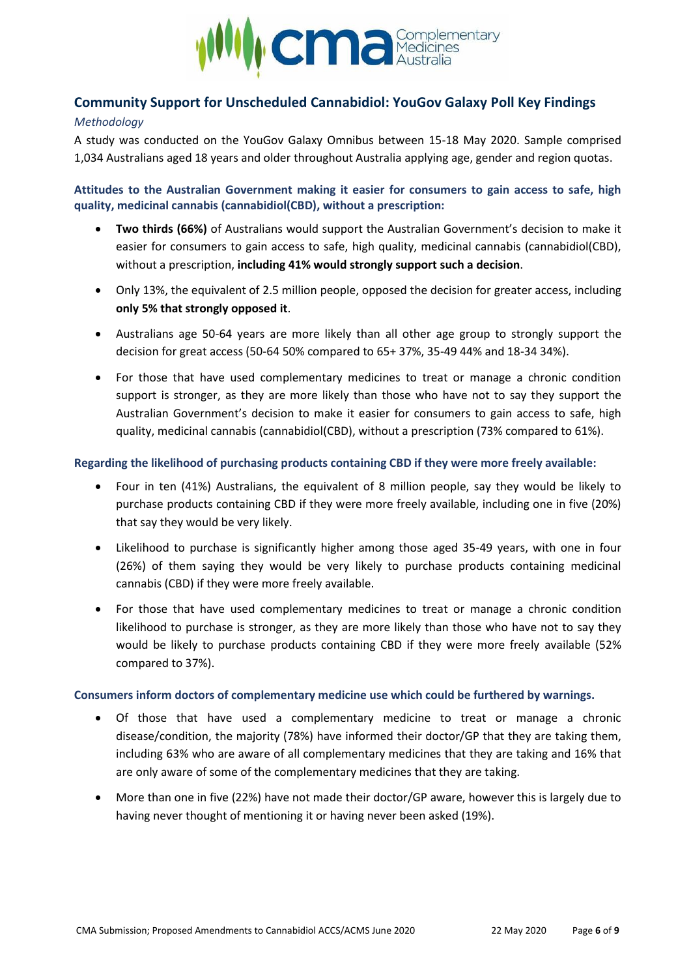

## <span id="page-5-0"></span>**Community Support for Unscheduled Cannabidiol: YouGov Galaxy Poll Key Findings**

#### *Methodology*

A study was conducted on the YouGov Galaxy Omnibus between 15-18 May 2020. Sample comprised 1,034 Australians aged 18 years and older throughout Australia applying age, gender and region quotas.

**Attitudes to the Australian Government making it easier for consumers to gain access to safe, high quality, medicinal cannabis (cannabidiol(CBD), without a prescription:**

- **Two thirds (66%)** of Australians would support the Australian Government's decision to make it easier for consumers to gain access to safe, high quality, medicinal cannabis (cannabidiol(CBD), without a prescription, **including 41% would strongly support such a decision**.
- Only 13%, the equivalent of 2.5 million people, opposed the decision for greater access, including **only 5% that strongly opposed it**.
- Australians age 50-64 years are more likely than all other age group to strongly support the decision for great access (50-64 50% compared to 65+ 37%, 35-49 44% and 18-34 34%).
- For those that have used complementary medicines to treat or manage a chronic condition support is stronger, as they are more likely than those who have not to say they support the Australian Government's decision to make it easier for consumers to gain access to safe, high quality, medicinal cannabis (cannabidiol(CBD), without a prescription (73% compared to 61%).

#### **Regarding the likelihood of purchasing products containing CBD if they were more freely available:**

- Four in ten (41%) Australians, the equivalent of 8 million people, say they would be likely to purchase products containing CBD if they were more freely available, including one in five (20%) that say they would be very likely.
- Likelihood to purchase is significantly higher among those aged 35-49 years, with one in four (26%) of them saying they would be very likely to purchase products containing medicinal cannabis (CBD) if they were more freely available.
- For those that have used complementary medicines to treat or manage a chronic condition likelihood to purchase is stronger, as they are more likely than those who have not to say they would be likely to purchase products containing CBD if they were more freely available (52% compared to 37%).

#### **Consumers inform doctors of complementary medicine use which could be furthered by warnings.**

- Of those that have used a complementary medicine to treat or manage a chronic disease/condition, the majority (78%) have informed their doctor/GP that they are taking them, including 63% who are aware of all complementary medicines that they are taking and 16% that are only aware of some of the complementary medicines that they are taking.
- More than one in five (22%) have not made their doctor/GP aware, however this is largely due to having never thought of mentioning it or having never been asked (19%).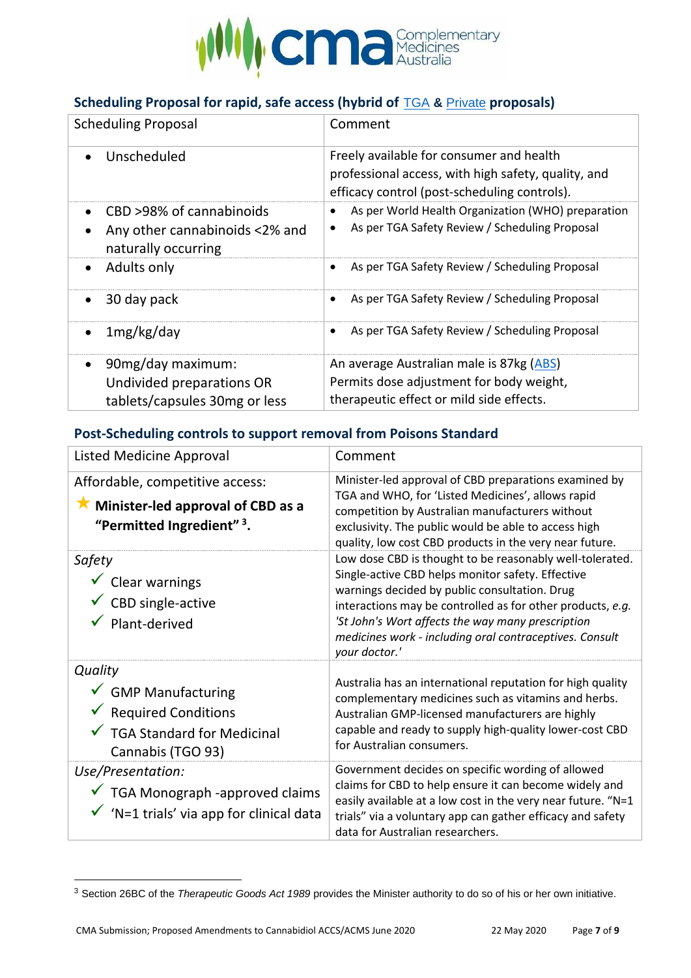

# <span id="page-6-0"></span>**Scheduling Proposal for rapid, safe access (hybrid of** [TGA](https://www.tga.gov.au/consultation-invitation/consultation-proposed-amendments-poisons-standard-joint-acmsaccs-meetings-june-2020) **&** [Private](https://www.tga.gov.au/consultation-invitation/consultation-proposed-amendments-poisons-standard-acms-and-joint-acmsaccs-meetings-june-2020#s2) **proposals)**

| <b>Scheduling Proposal</b>                            | Comment                                                                                                                                         |  |  |
|-------------------------------------------------------|-------------------------------------------------------------------------------------------------------------------------------------------------|--|--|
| Unscheduled<br>$\bullet$                              | Freely available for consumer and health<br>professional access, with high safety, quality, and<br>efficacy control (post-scheduling controls). |  |  |
| CBD >98% of cannabinoids                              | As per World Health Organization (WHO) preparation                                                                                              |  |  |
| Any other cannabinoids <2% and<br>naturally occurring | As per TGA Safety Review / Scheduling Proposal                                                                                                  |  |  |
| Adults only<br>$\bullet$                              | As per TGA Safety Review / Scheduling Proposal                                                                                                  |  |  |
| 30 day pack                                           | As per TGA Safety Review / Scheduling Proposal<br>$\bullet$                                                                                     |  |  |
| 1mg/kg/day                                            | As per TGA Safety Review / Scheduling Proposal<br>$\bullet$                                                                                     |  |  |
| 90mg/day maximum:                                     | An average Australian male is 87kg (ABS)                                                                                                        |  |  |
| Undivided preparations OR                             | Permits dose adjustment for body weight,                                                                                                        |  |  |
| tablets/capsules 30mg or less                         | therapeutic effect or mild side effects.                                                                                                        |  |  |

## <span id="page-6-1"></span>**Post-Scheduling controls to support removal from Poisons Standard**

| <b>Listed Medicine Approval</b>                                                                                                    | Comment                                                                                                                                                                                                                                                                                                                                                       |
|------------------------------------------------------------------------------------------------------------------------------------|---------------------------------------------------------------------------------------------------------------------------------------------------------------------------------------------------------------------------------------------------------------------------------------------------------------------------------------------------------------|
| Affordable, competitive access:<br>Minister-led approval of CBD as a<br>"Permitted Ingredient" 3.                                  | Minister-led approval of CBD preparations examined by<br>TGA and WHO, for 'Listed Medicines', allows rapid<br>competition by Australian manufacturers without<br>exclusivity. The public would be able to access high<br>quality, low cost CBD products in the very near future.                                                                              |
| Safety<br>$\checkmark$ Clear warnings<br>$\checkmark$ CBD single-active<br>Plant-derived                                           | Low dose CBD is thought to be reasonably well-tolerated.<br>Single-active CBD helps monitor safety. Effective<br>warnings decided by public consultation. Drug<br>interactions may be controlled as for other products, e.g.<br>'St John's Wort affects the way many prescription<br>medicines work - including oral contraceptives. Consult<br>your doctor.' |
| Quality<br>$\checkmark$ GMP Manufacturing<br>$\checkmark$ Required Conditions<br>✔ TGA Standard for Medicinal<br>Cannabis (TGO 93) | Australia has an international reputation for high quality<br>complementary medicines such as vitamins and herbs.<br>Australian GMP-licensed manufacturers are highly<br>capable and ready to supply high-quality lower-cost CBD<br>for Australian consumers.                                                                                                 |
| Use/Presentation:<br>$\checkmark$ TGA Monograph -approved claims<br>$\checkmark$ 'N=1 trials' via app for clinical data            | Government decides on specific wording of allowed<br>claims for CBD to help ensure it can become widely and<br>easily available at a low cost in the very near future. "N=1<br>trials" via a voluntary app can gather efficacy and safety<br>data for Australian researchers.                                                                                 |

<sup>3</sup> Section 26BC of the *Therapeutic Goods Act 1989* provides the Minister authority to do so of his or her own initiative.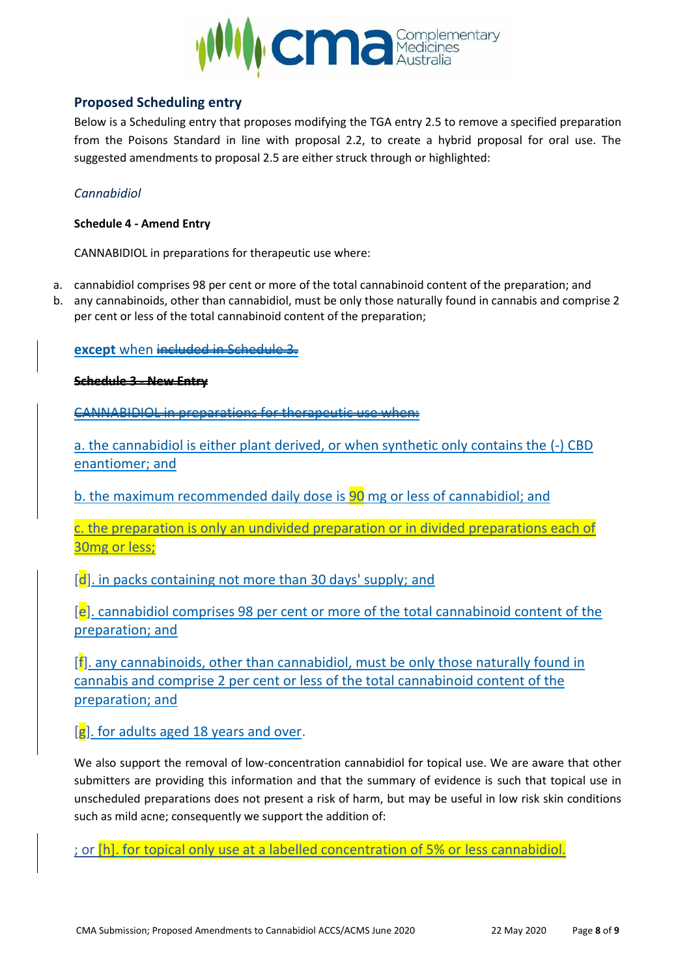

### <span id="page-7-0"></span>**Proposed Scheduling entry**

Below is a Scheduling entry that proposes modifying the TGA entry 2.5 to remove a specified preparation from the Poisons Standard in line with proposal 2.2, to create a hybrid proposal for oral use. The suggested amendments to proposal 2.5 are either struck through or highlighted:

### *Cannabidiol*

#### **Schedule 4 - Amend Entry**

CANNABIDIOL in preparations for therapeutic use where:

- a. cannabidiol comprises 98 per cent or more of the total cannabinoid content of the preparation; and
- b. any cannabinoids, other than cannabidiol, must be only those naturally found in cannabis and comprise 2 per cent or less of the total cannabinoid content of the preparation;

### **except** when included in Schedule

**Schedule 3 - New Entry**

CANNABIDIOL in preparations for therapeutic use

a. the cannabidiol is either plant derived, or when synthetic only contains the (-) CBD enantiomer; and

b. the maximum recommended daily dose is **90** mg or less of cannabidiol; and

c. the preparation is only an undivided preparation or in divided preparations each of 30mg or less;

[d]. in packs containing not more than 30 days' supply; and

[e]. cannabidiol comprises 98 per cent or more of the total cannabinoid content of the preparation; and

[f]. any cannabinoids, other than cannabidiol, must be only those naturally found in cannabis and comprise 2 per cent or less of the total cannabinoid content of the preparation; and

 $[g]$ . for adults aged 18 years and over.

We also support the removal of low-concentration cannabidiol for topical use. We are aware that other submitters are providing this information and that the summary of evidence is such that topical use in unscheduled preparations does not present a risk of harm, but may be useful in low risk skin conditions such as mild acne; consequently we support the addition of:

; or [h]. for topical only use at a labelled concentration of 5% or less cannabidiol.